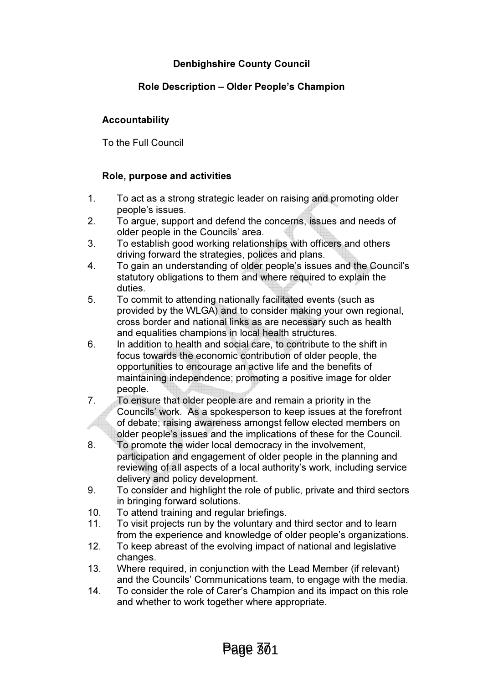# Denbighshire County Council

## Role Description – Older People's Champion

## Accountability

To the Full Council

## Role, purpose and activities

- 1. To act as a strong strategic leader on raising and promoting older people's issues.
- 2. To argue, support and defend the concerns, issues and needs of older people in the Councils' area.
- 3. To establish good working relationships with officers and others driving forward the strategies, polices and plans.
- 4. To gain an understanding of older people's issues and the Council's statutory obligations to them and where required to explain the duties.
- 5. To commit to attending nationally facilitated events (such as provided by the WLGA) and to consider making your own regional, cross border and national links as are necessary such as health and equalities champions in local health structures.
- 6. In addition to health and social care, to contribute to the shift in focus towards the economic contribution of older people, the opportunities to encourage an active life and the benefits of maintaining independence; promoting a positive image for older people.
- 7. To ensure that older people are and remain a priority in the Councils' work. As a spokesperson to keep issues at the forefront of debate; raising awareness amongst fellow elected members on older people's issues and the implications of these for the Council.
- 8. To promote the wider local democracy in the involvement, participation and engagement of older people in the planning and reviewing of all aspects of a local authority's work, including service delivery and policy development.
- 9. To consider and highlight the role of public, private and third sectors in bringing forward solutions.
- 10. To attend training and regular briefings.
- 11. To visit projects run by the voluntary and third sector and to learn from the experience and knowledge of older people's organizations.
- 12. To keep abreast of the evolving impact of national and legislative changes.
- 13. Where required, in conjunction with the Lead Member (if relevant) and the Councils' Communications team, to engage with the media.
- 14. To consider the role of Carer's Champion and its impact on this role and whether to work together where appropriate.